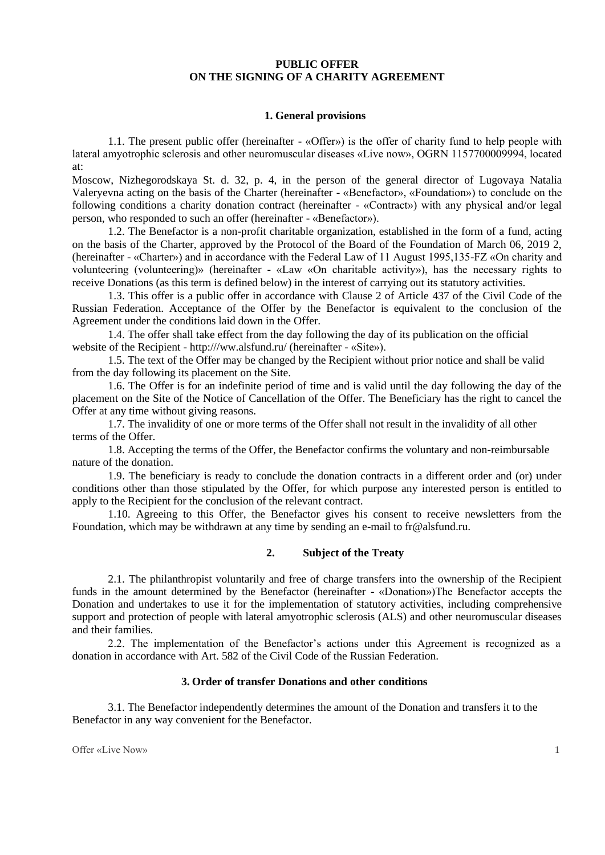# **PUBLIC OFFER ON THE SIGNING OF A CHARITY AGREEMENT**

### **1. General provisions**

1.1. The present public offer (hereinafter - «Offer») is the offer of charity fund to help people with lateral amyotrophic sclerosis and other neuromuscular diseases «Live now», OGRN 1157700009994, located at:

Moscow, Nizhegorodskaya St. d. 32, p. 4, in the person of the general director of Lugovaya Natalia Valeryevna acting on the basis of the Charter (hereinafter - «Benefactor», «Foundation») to conclude on the following conditions a charity donation contract (hereinafter - «Contract») with any physical and/or legal person, who responded to such an offer (hereinafter - «Benefactor»).

1.2. The Benefactor is a non-profit charitable organization, established in the form of a fund, acting on the basis of the Charter, approved by the Protocol of the Board of the Foundation of March 06, 2019 2, (hereinafter - «Charter») and in accordance with the Federal Law of 11 August 1995,135-FZ «On charity and volunteering (volunteering)» (hereinafter - «Law «On charitable activity»), has the necessary rights to receive Donations (as this term is defined below) in the interest of carrying out its statutory activities.

1.3. This offer is a public offer in accordance with Clause 2 of Article 437 of the Civil Code of the Russian Federation. Acceptance of the Offer by the Benefactor is equivalent to the conclusion of the Agreement under the conditions laid down in the Offer.

1.4. The offer shall take effect from the day following the day of its publication on the official website of the Recipient - http:///ww.alsfund.ru/ (hereinafter - «Site»).

1.5. The text of the Offer may be changed by the Recipient without prior notice and shall be valid from the day following its placement on the Site.

1.6. The Offer is for an indefinite period of time and is valid until the day following the day of the placement on the Site of the Notice of Cancellation of the Offer. The Beneficiary has the right to cancel the Offer at any time without giving reasons.

1.7. The invalidity of one or more terms of the Offer shall not result in the invalidity of all other terms of the Offer.

1.8. Accepting the terms of the Offer, the Benefactor confirms the voluntary and non-reimbursable nature of the donation.

1.9. The beneficiary is ready to conclude the donation contracts in a different order and (or) under conditions other than those stipulated by the Offer, for which purpose any interested person is entitled to apply to the Recipient for the conclusion of the relevant contract.

1.10. Agreeing to this Offer, the Benefactor gives his consent to receive newsletters from the Foundation, which may be withdrawn at any time by sending an e-mail to fr@alsfund.ru.

# **2. Subject of the Treaty**

2.1. The philanthropist voluntarily and free of charge transfers into the ownership of the Recipient funds in the amount determined by the Benefactor (hereinafter - «Donation»)The Benefactor accepts the Donation and undertakes to use it for the implementation of statutory activities, including comprehensive support and protection of people with lateral amyotrophic sclerosis (ALS) and other neuromuscular diseases and their families.

2.2. The implementation of the Benefactor's actions under this Agreement is recognized as a donation in accordance with Art. 582 of the Civil Code of the Russian Federation.

#### **3. Order of transfer Donations and other conditions**

3.1. The Benefactor independently determines the amount of the Donation and transfers it to the Benefactor in any way convenient for the Benefactor.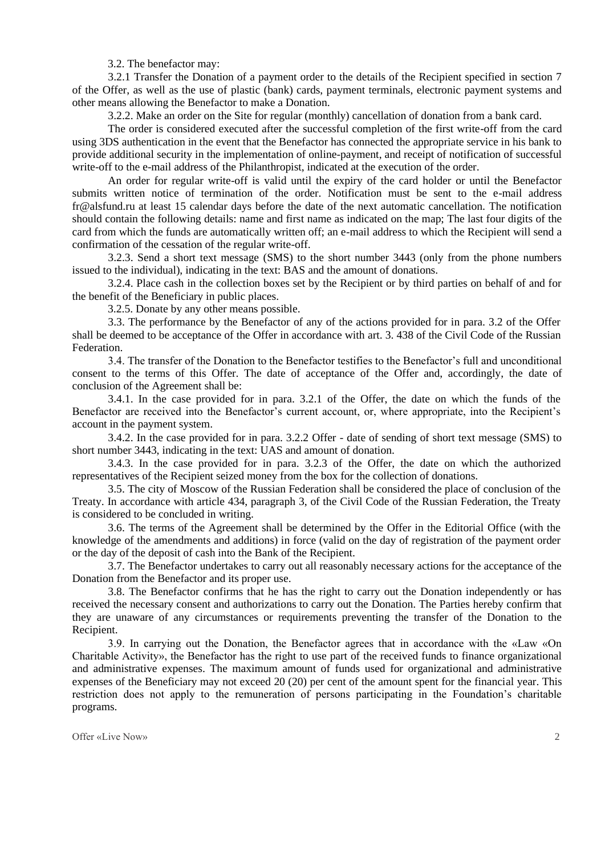3.2. The benefactor may:

3.2.1 Transfer the Donation of a payment order to the details of the Recipient specified in section 7 of the Offer, as well as the use of plastic (bank) cards, payment terminals, electronic payment systems and other means allowing the Benefactor to make a Donation.

3.2.2. Make an order on the Site for regular (monthly) cancellation of donation from a bank card.

The order is considered executed after the successful completion of the first write-off from the card using 3DS authentication in the event that the Benefactor has connected the appropriate service in his bank to provide additional security in the implementation of online-payment, and receipt of notification of successful write-off to the e-mail address of the Philanthropist, indicated at the execution of the order.

An order for regular write-off is valid until the expiry of the card holder or until the Benefactor submits written notice of termination of the order. Notification must be sent to the e-mail address fr@alsfund.ru at least 15 calendar days before the date of the next automatic cancellation. The notification should contain the following details: name and first name as indicated on the map; The last four digits of the card from which the funds are automatically written off; an e-mail address to which the Recipient will send a confirmation of the cessation of the regular write-off.

3.2.3. Send a short text message (SMS) to the short number 3443 (only from the phone numbers issued to the individual), indicating in the text: BAS and the amount of donations.

3.2.4. Place cash in the collection boxes set by the Recipient or by third parties on behalf of and for the benefit of the Beneficiary in public places.

3.2.5. Donate by any other means possible.

3.3. The performance by the Benefactor of any of the actions provided for in para. 3.2 of the Offer shall be deemed to be acceptance of the Offer in accordance with art. 3. 438 of the Civil Code of the Russian Federation.

3.4. The transfer of the Donation to the Benefactor testifies to the Benefactor's full and unconditional consent to the terms of this Offer. The date of acceptance of the Offer and, accordingly, the date of conclusion of the Agreement shall be:

3.4.1. In the case provided for in para. 3.2.1 of the Offer, the date on which the funds of the Benefactor are received into the Benefactor's current account, or, where appropriate, into the Recipient's account in the payment system.

3.4.2. In the case provided for in para. 3.2.2 Offer - date of sending of short text message (SMS) to short number 3443, indicating in the text: UAS and amount of donation.

3.4.3. In the case provided for in para. 3.2.3 of the Offer, the date on which the authorized representatives of the Recipient seized money from the box for the collection of donations.

3.5. The city of Moscow of the Russian Federation shall be considered the place of conclusion of the Treaty. In accordance with article 434, paragraph 3, of the Civil Code of the Russian Federation, the Treaty is considered to be concluded in writing.

3.6. The terms of the Agreement shall be determined by the Offer in the Editorial Office (with the knowledge of the amendments and additions) in force (valid on the day of registration of the payment order or the day of the deposit of cash into the Bank of the Recipient.

3.7. The Benefactor undertakes to carry out all reasonably necessary actions for the acceptance of the Donation from the Benefactor and its proper use.

3.8. The Benefactor confirms that he has the right to carry out the Donation independently or has received the necessary consent and authorizations to carry out the Donation. The Parties hereby confirm that they are unaware of any circumstances or requirements preventing the transfer of the Donation to the Recipient.

3.9. In carrying out the Donation, the Benefactor agrees that in accordance with the «Law «On Charitable Activity», the Benefactor has the right to use part of the received funds to finance organizational and administrative expenses. The maximum amount of funds used for organizational and administrative expenses of the Beneficiary may not exceed 20 (20) per cent of the amount spent for the financial year. This restriction does not apply to the remuneration of persons participating in the Foundation's charitable programs.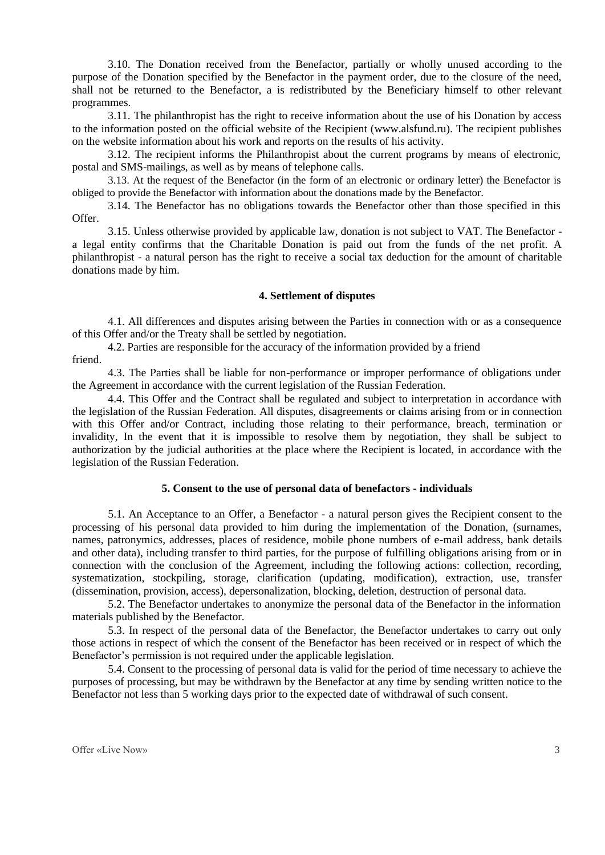3.10. The Donation received from the Benefactor, partially or wholly unused according to the purpose of the Donation specified by the Benefactor in the payment order, due to the closure of the need, shall not be returned to the Benefactor, a is redistributed by the Beneficiary himself to other relevant programmes.

3.11. The philanthropist has the right to receive information about the use of his Donation by access to the information posted on the official website of the Recipient (www.alsfund.ru). The recipient publishes on the website information about his work and reports on the results of his activity.

3.12. The recipient informs the Philanthropist about the current programs by means of electronic, postal and SMS-mailings, as well as by means of telephone calls.

3.13. At the request of the Benefactor (in the form of an electronic or ordinary letter) the Benefactor is obliged to provide the Benefactor with information about the donations made by the Benefactor.

3.14. The Benefactor has no obligations towards the Benefactor other than those specified in this Offer.

3.15. Unless otherwise provided by applicable law, donation is not subject to VAT. The Benefactor a legal entity confirms that the Charitable Donation is paid out from the funds of the net profit. A philanthropist - a natural person has the right to receive a social tax deduction for the amount of charitable donations made by him.

## **4. Settlement of disputes**

4.1. All differences and disputes arising between the Parties in connection with or as a consequence of this Offer and/or the Treaty shall be settled by negotiation.

4.2. Parties are responsible for the accuracy of the information provided by a friend friend.

4.3. The Parties shall be liable for non-performance or improper performance of obligations under the Agreement in accordance with the current legislation of the Russian Federation.

4.4. This Offer and the Contract shall be regulated and subject to interpretation in accordance with the legislation of the Russian Federation. All disputes, disagreements or claims arising from or in connection with this Offer and/or Contract, including those relating to their performance, breach, termination or invalidity, In the event that it is impossible to resolve them by negotiation, they shall be subject to authorization by the judicial authorities at the place where the Recipient is located, in accordance with the legislation of the Russian Federation.

#### **5. Consent to the use of personal data of benefactors - individuals**

5.1. An Acceptance to an Offer, a Benefactor - a natural person gives the Recipient consent to the processing of his personal data provided to him during the implementation of the Donation, (surnames, names, patronymics, addresses, places of residence, mobile phone numbers of e-mail address, bank details and other data), including transfer to third parties, for the purpose of fulfilling obligations arising from or in connection with the conclusion of the Agreement, including the following actions: collection, recording, systematization, stockpiling, storage, clarification (updating, modification), extraction, use, transfer (dissemination, provision, access), depersonalization, blocking, deletion, destruction of personal data.

5.2. The Benefactor undertakes to anonymize the personal data of the Benefactor in the information materials published by the Benefactor.

5.3. In respect of the personal data of the Benefactor, the Benefactor undertakes to carry out only those actions in respect of which the consent of the Benefactor has been received or in respect of which the Benefactor's permission is not required under the applicable legislation.

5.4. Consent to the processing of personal data is valid for the period of time necessary to achieve the purposes of processing, but may be withdrawn by the Benefactor at any time by sending written notice to the Benefactor not less than 5 working days prior to the expected date of withdrawal of such consent.